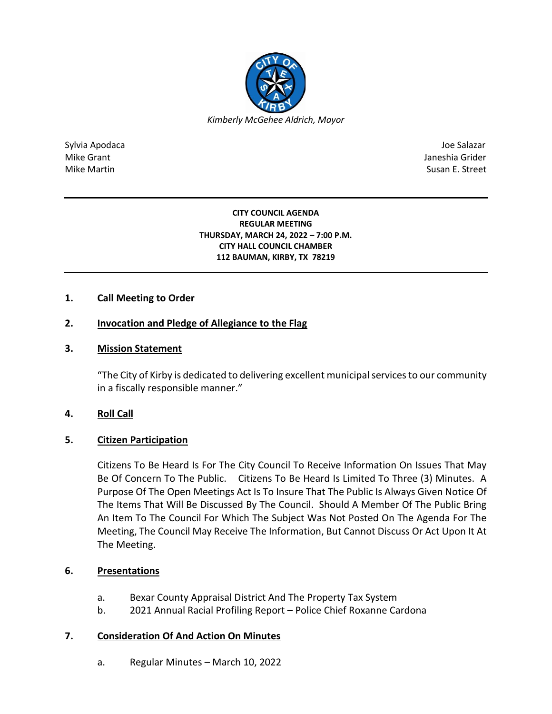

Sylvia Apodaca Joe Salazar Joe Salazar Joe Salazar Joe Salazar Joe Salazar Joe Salazar Joe Salazar Joe Salazar Mike Grant **Janeshia Grider** Mike Grant Janeshia Grider **Janeshia Grider** Mike Grant Janeshia Grider Mike Martin Susan E. Street

> **CITY COUNCIL AGENDA REGULAR MEETING THURSDAY, MARCH 24, 2022 – 7:00 P.M. CITY HALL COUNCIL CHAMBER 112 BAUMAN, KIRBY, TX 78219**

# **1. Call Meeting to Order**

## **2. Invocation and Pledge of Allegiance to the Flag**

## **3. Mission Statement**

"The City of Kirby is dedicated to delivering excellent municipal services to our community in a fiscally responsible manner."

#### **4. Roll Call**

#### **5. Citizen Participation**

Citizens To Be Heard Is For The City Council To Receive Information On Issues That May Be Of Concern To The Public. Citizens To Be Heard Is Limited To Three (3) Minutes. A Purpose Of The Open Meetings Act Is To Insure That The Public Is Always Given Notice Of The Items That Will Be Discussed By The Council. Should A Member Of The Public Bring An Item To The Council For Which The Subject Was Not Posted On The Agenda For The Meeting, The Council May Receive The Information, But Cannot Discuss Or Act Upon It At The Meeting.

#### **6. Presentations**

- a. Bexar County Appraisal District And The Property Tax System
- b. 2021 Annual Racial Profiling Report Police Chief Roxanne Cardona

#### **7. Consideration Of And Action On Minutes**

a. Regular Minutes – March 10, 2022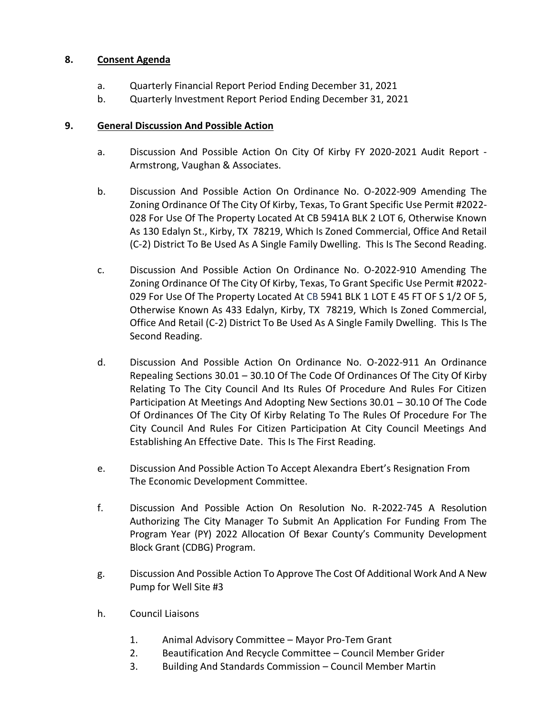# **8. Consent Agenda**

- a. Quarterly Financial Report Period Ending December 31, 2021
- b. Quarterly Investment Report Period Ending December 31, 2021

## **9. General Discussion And Possible Action**

- a. Discussion And Possible Action On City Of Kirby FY 2020-2021 Audit Report Armstrong, Vaughan & Associates.
- b. Discussion And Possible Action On Ordinance No. O-2022-909 Amending The Zoning Ordinance Of The City Of Kirby, Texas, To Grant Specific Use Permit #2022- 028 For Use Of The Property Located At CB 5941A BLK 2 LOT 6, Otherwise Known As 130 Edalyn St., Kirby, TX 78219, Which Is Zoned Commercial, Office And Retail (C-2) District To Be Used As A Single Family Dwelling. This Is The Second Reading.
- c. Discussion And Possible Action On Ordinance No. O-2022-910 Amending The Zoning Ordinance Of The City Of Kirby, Texas, To Grant Specific Use Permit #2022- 029 For Use Of The Property Located At CB 5941 BLK 1 LOT E 45 FT OF S 1/2 OF 5, Otherwise Known As 433 Edalyn, Kirby, TX 78219, Which Is Zoned Commercial, Office And Retail (C-2) District To Be Used As A Single Family Dwelling. This Is The Second Reading.
- d. Discussion And Possible Action On Ordinance No. O-2022-911 An Ordinance Repealing Sections 30.01 – 30.10 Of The Code Of Ordinances Of The City Of Kirby Relating To The City Council And Its Rules Of Procedure And Rules For Citizen Participation At Meetings And Adopting New Sections 30.01 – 30.10 Of The Code Of Ordinances Of The City Of Kirby Relating To The Rules Of Procedure For The City Council And Rules For Citizen Participation At City Council Meetings And Establishing An Effective Date. This Is The First Reading.
- e. Discussion And Possible Action To Accept Alexandra Ebert's Resignation From The Economic Development Committee.
- f. Discussion And Possible Action On Resolution No. R-2022-745 A Resolution Authorizing The City Manager To Submit An Application For Funding From The Program Year (PY) 2022 Allocation Of Bexar County's Community Development Block Grant (CDBG) Program.
- g. Discussion And Possible Action To Approve The Cost Of Additional Work And A New Pump for Well Site #3
- h. Council Liaisons
	- 1. Animal Advisory Committee Mayor Pro-Tem Grant
	- 2. Beautification And Recycle Committee Council Member Grider
	- 3. Building And Standards Commission Council Member Martin